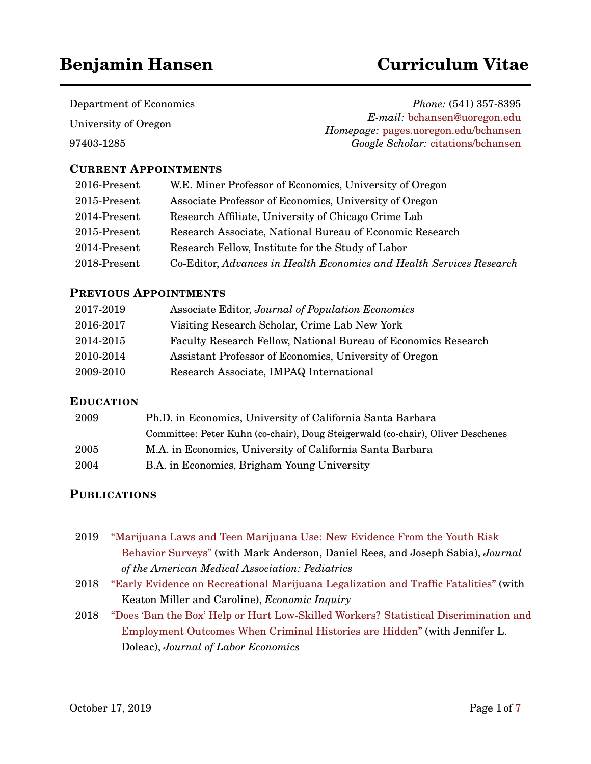# **Benjamin Hansen Curriculum Vitae**

Department of Economics University of Oregon

97403-1285

*Phone:* (541) 357-8395 *E-mail:* [bchansen@uoregon.edu](mailto:bchansen@uoregon.edu) *Homepage:* [pages.uoregon.edu/bchansen](http://pages.uoregon.edu/bchansen) *Google Scholar:* [citations/bchansen](https://scholar.google.com/citations?user=5FJrCDkAAAAJ&hl=en)

# **CURRENT APPOINTMENTS**

| 2016-Present    | W.E. Miner Professor of Economics, University of Oregon              |
|-----------------|----------------------------------------------------------------------|
| 2015-Present    | Associate Professor of Economics, University of Oregon               |
| 2014-Present    | Research Affiliate, University of Chicago Crime Lab                  |
| $2015$ -Present | Research Associate, National Bureau of Economic Research             |
| 2014-Present    | Research Fellow, Institute for the Study of Labor                    |
| 2018-Present    | Co-Editor, Advances in Health Economics and Health Services Research |

# **PREVIOUS APPOINTMENTS**

| 2017-2019 | Associate Editor, Journal of Population Economics              |
|-----------|----------------------------------------------------------------|
| 2016-2017 | Visiting Research Scholar, Crime Lab New York                  |
| 2014-2015 | Faculty Research Fellow, National Bureau of Economics Research |
| 2010-2014 | Assistant Professor of Economics, University of Oregon         |
| 2009-2010 | Research Associate, IMPAQ International                        |

# **EDUCATION**

| 2009 | Ph.D. in Economics, University of California Santa Barbara                      |  |
|------|---------------------------------------------------------------------------------|--|
|      | Committee: Peter Kuhn (co-chair), Doug Steigerwald (co-chair), Oliver Deschenes |  |
| 2005 | M.A. in Economics, University of California Santa Barbara                       |  |
| 2004 | B.A. in Economics, Brigham Young University                                     |  |

# **PUBLICATIONS**

- 2019 ["Marijuana Laws and Teen Marijuana Use: New Evidence From the Youth Risk](https://jamanetwork.com/journals/jamapediatrics/article-abstract/2737637) [Behavior Surveys"](https://jamanetwork.com/journals/jamapediatrics/article-abstract/2737637) (with Mark Anderson, Daniel Rees, and Joseph Sabia), *Journal of the American Medical Association: Pediatrics*
- 2018 ["Early Evidence on Recreational Marijuana Legalization and Traffic Fatalities"](http://www.nber.org/papers/w24417) (with Keaton Miller and Caroline), *Economic Inquiry*
- 2018 ["Does 'Ban the Box' Help or Hurt Low-Skilled Workers? Statistical Discrimination and](http://www.nber.org/papers/w22469) [Employment Outcomes When Criminal Histories are Hidden"](http://www.nber.org/papers/w22469) (with Jennifer L. Doleac), *Journal of Labor Economics*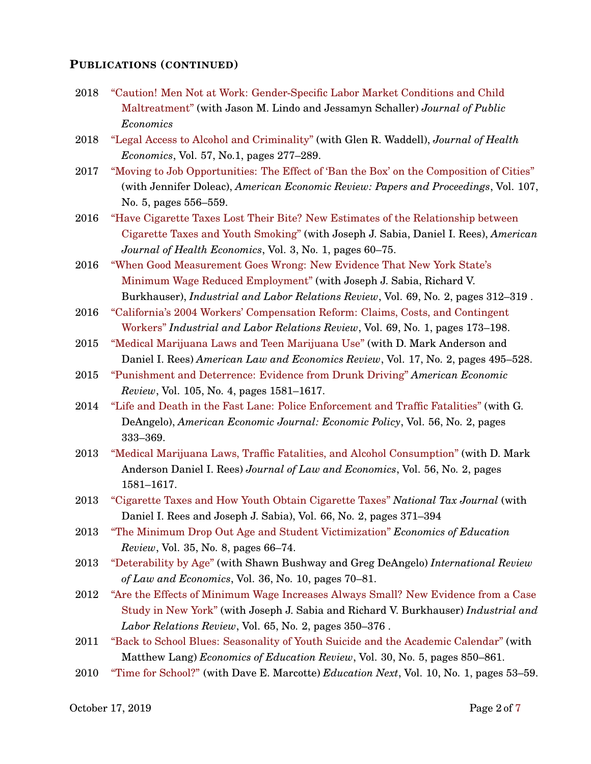#### **PUBLICATIONS (CONTINUED)**

- 2018 ["Caution! Men Not at Work: Gender-Specific Labor Market Conditions and Child](http://www.nber.org/papers/w18994) [Maltreatment"](http://www.nber.org/papers/w18994) (with Jason M. Lindo and Jessamyn Schaller) *Journal of Public Economics*
- 2018 ["Legal Access to Alcohol and Criminality"](https://www.sciencedirect.com/science/article/pii/S0167629617307191) (with Glen R. Waddell), *Journal of Health Economics*, Vol. 57, No.1, pages 277–289.
- 2017 ["Moving to Job Opportunities: The Effect of 'Ban the Box' on the Composition of Cities"](https://www.aeaweb.org/articles?id=10.1257/aer.p20171002) (with Jennifer Doleac), *American Economic Review: Papers and Proceedings*, Vol. 107, No. 5, pages 556–559.
- 2016 ["Have Cigarette Taxes Lost Their Bite? New Estimates of the Relationship between](https://www.mitpressjournals.org/doi/abs/10.1162/AJHE_a_00067) [Cigarette Taxes and Youth Smoking"](https://www.mitpressjournals.org/doi/abs/10.1162/AJHE_a_00067) (with Joseph J. Sabia, Daniel I. Rees), *American Journal of Health Economics*, Vol. 3, No. 1, pages 60–75.
- 2016 ["When Good Measurement Goes Wrong: New Evidence That New York State's](https://www.mitpressjournals.org/doi/abs/10.1162/AJHE_a_00067) [Minimum Wage Reduced Employment"](https://www.mitpressjournals.org/doi/abs/10.1162/AJHE_a_00067) (with Joseph J. Sabia, Richard V. Burkhauser), *Industrial and Labor Relations Review*, Vol. 69, No. 2, pages 312–319 .
- 2016 ["California's 2004 Workers' Compensation Reform: Claims, Costs, and Contingent](http://journals.sagepub.com/doi/abs/10.1177/0019793915605507) [Workers"](http://journals.sagepub.com/doi/abs/10.1177/0019793915605507) *Industrial and Labor Relations Review*, Vol. 69, No. 1, pages 173–198.
- 2015 ["Medical Marijuana Laws and Teen Marijuana Use"](https://academic.oup.com/aler/article-abstract/17/2/495/197943) (with D. Mark Anderson and Daniel I. Rees) *American Law and Economics Review*, Vol. 17, No. 2, pages 495–528.
- 2015 ["Punishment and Deterrence: Evidence from Drunk Driving"](https://www.aeaweb.org/articles?id=10.1257/aer.20130189) *American Economic Review*, Vol. 105, No. 4, pages 1581–1617.
- 2014 ["Life and Death in the Fast Lane: Police Enforcement and Traffic Fatalities"](https://www.aeaweb.org/articles?id=10.1257/pol.6.2.231) (with G. DeAngelo), *American Economic Journal: Economic Policy*, Vol. 56, No. 2, pages 333–369.
- 2013 ["Medical Marijuana Laws, Traffic Fatalities, and Alcohol Consumption"](https://www.journals.uchicago.edu/doi/abs/10.1086/668812) (with D. Mark Anderson Daniel I. Rees) *Journal of Law and Economics*, Vol. 56, No. 2, pages 1581–1617.
- 2013 ["Cigarette Taxes and How Youth Obtain Cigarette Taxes"](https://www.ntanet.org/NTJ/66/2/ntj-v66n02p371-394-cigarrete-taxes-youth.html) *National Tax Journal* (with Daniel I. Rees and Joseph J. Sabia), Vol. 66, No. 2, pages 371–394
- 2013 ["The Minimum Drop Out Age and Student Victimization"](https://www.sciencedirect.com/science/article/abs/pii/S0272775713000484) *Economics of Education Review*, Vol. 35, No. 8, pages 66–74.
- 2013 ["Deterability by Age"](https://www.sciencedirect.com/science/article/abs/pii/S014481881300032X) (with Shawn Bushway and Greg DeAngelo) *International Review of Law and Economics*, Vol. 36, No. 10, pages 70–81.
- 2012 ["Are the Effects of Minimum Wage Increases Always Small? New Evidence from a Case](http://journals.sagepub.com/doi/abs/10.1177/001979391206500207) [Study in New York"](http://journals.sagepub.com/doi/abs/10.1177/001979391206500207) (with Joseph J. Sabia and Richard V. Burkhauser) *Industrial and Labor Relations Review*, Vol. 65, No. 2, pages 350–376 .
- 2011 ["Back to School Blues: Seasonality of Youth Suicide and the Academic Calendar"](https://www.sciencedirect.com/science/article/abs/pii/S0272775711000677) (with Matthew Lang) *Economics of Education Review*, Vol. 30, No. 5, pages 850–861.
- 2010 ["Time for School?"](https://educationnext.org/time-for-school) (with Dave E. Marcotte) *Education Next*, Vol. 10, No. 1, pages 53–59.

October 1[7](#page-6-0), 2019 Page 2 of 7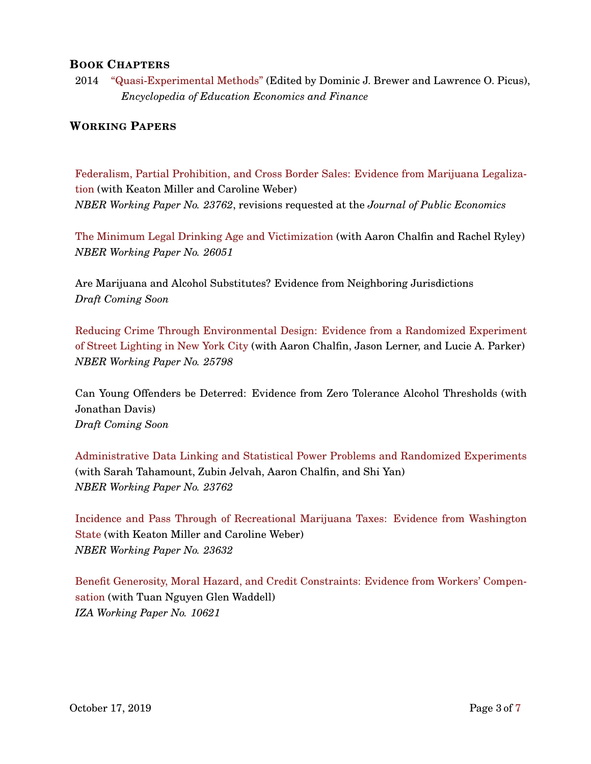### **BOOK CHAPTERS**

2014 ["Quasi-Experimental Methods"](http://sk.sagepub.com/reference/encyclopedia-of-education-economics-and-finance/i6896.xml) (Edited by Dominic J. Brewer and Lawrence O. Picus), *Encyclopedia of Education Economics and Finance*

### **WORKING PAPERS**

[Federalism, Partial Prohibition, and Cross Border Sales: Evidence from Marijuana Legaliza](http://www.nber.org/papers/w23762)[tion](http://www.nber.org/papers/w23762) (with Keaton Miller and Caroline Weber) *NBER Working Paper No. 23762*, revisions requested at the *Journal of Public Economics*

[The Minimum Legal Drinking Age and Victimization](https://www.nber.org/papers/w26051) (with Aaron Chalfin and Rachel Ryley) *NBER Working Paper No. 26051*

Are Marijuana and Alcohol Substitutes? Evidence from Neighboring Jurisdictions *Draft Coming Soon*

[Reducing Crime Through Environmental Design: Evidence from a Randomized Experiment](https://www.nber.org/papers/w25798) [of Street Lighting in New York City](https://www.nber.org/papers/w25798) (with Aaron Chalfin, Jason Lerner, and Lucie A. Parker) *NBER Working Paper No. 25798*

Can Young Offenders be Deterred: Evidence from Zero Tolerance Alcohol Thresholds (with Jonathan Davis) *Draft Coming Soon*

[Administrative Data Linking and Statistical Power Problems and Randomized Experiments](https://www.nber.org/papers/w25657) (with Sarah Tahamount, Zubin Jelvah, Aaron Chalfin, and Shi Yan) *NBER Working Paper No. 23762*

[Incidence and Pass Through of Recreational Marijuana Taxes: Evidence from Washington](http://www.nber.org/papers/w23632) [State](http://www.nber.org/papers/w23632) (with Keaton Miller and Caroline Weber) *NBER Working Paper No. 23632*

[Benefit Generosity, Moral Hazard, and Credit Constraints: Evidence from Workers' Compen](https://www.iza.org/publications/dp/10621/benefit-generosity-and-injury-duration-quasi-experimental-evidence-from-regression-kinks)[sation](https://www.iza.org/publications/dp/10621/benefit-generosity-and-injury-duration-quasi-experimental-evidence-from-regression-kinks) (with Tuan Nguyen Glen Waddell) *IZA Working Paper No. 10621*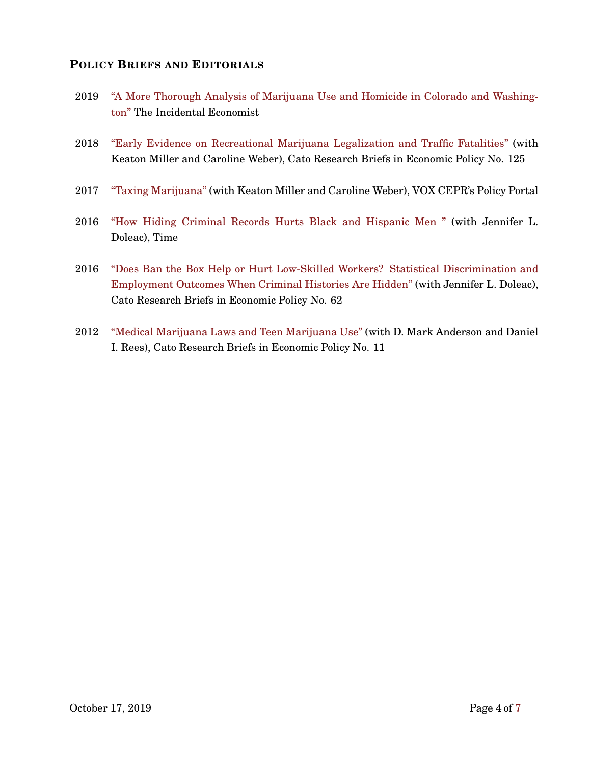### **POLICY BRIEFS AND EDITORIALS**

- 2019 ["A More Thorough Analysis of Marijuana Use and Homicide in Colorado and Washing](https://theincidentaleconomist.com/wordpress/a-more-thorough-analysis-of-marijuana-use-and-homicide-in-colorado-and-washington/)[ton"](https://theincidentaleconomist.com/wordpress/a-more-thorough-analysis-of-marijuana-use-and-homicide-in-colorado-and-washington/) The Incidental Economist
- 2018 ["Early Evidence on Recreational Marijuana Legalization and Traffic Fatalities"](https://www.cato.org/publications/research-briefs-economic-policy/early-evidence-recreational-marijuana-legalization) (with Keaton Miller and Caroline Weber), Cato Research Briefs in Economic Policy No. 125
- 2017 ["Taxing Marijuana"](https://voxeu.org/article/taxing-marijuana) (with Keaton Miller and Caroline Weber), VOX CEPR's Policy Portal
- 2016 ["How Hiding Criminal Records Hurts Black and Hispanic Men "](https://http://time.com/4482150/ban-the-box-unintended-discrimination/) (with Jennifer L. Doleac), Time
- 2016 ["Does Ban the Box Help or Hurt Low-Skilled Workers? Statistical Discrimination and](https://www.cato.org/publications/research-briefs-economic-policy/does-ban-box-help-or-hurt-low-skilled-workers) [Employment Outcomes When Criminal Histories Are Hidden"](https://www.cato.org/publications/research-briefs-economic-policy/does-ban-box-help-or-hurt-low-skilled-workers) (with Jennifer L. Doleac), Cato Research Briefs in Economic Policy No. 62
- 2012 ["Medical Marijuana Laws and Teen Marijuana Use"](https://www.cato.org/publications/research-briefs-economic-policy/medical-marijuana-laws-teen-marijuana-use) (with D. Mark Anderson and Daniel I. Rees), Cato Research Briefs in Economic Policy No. 11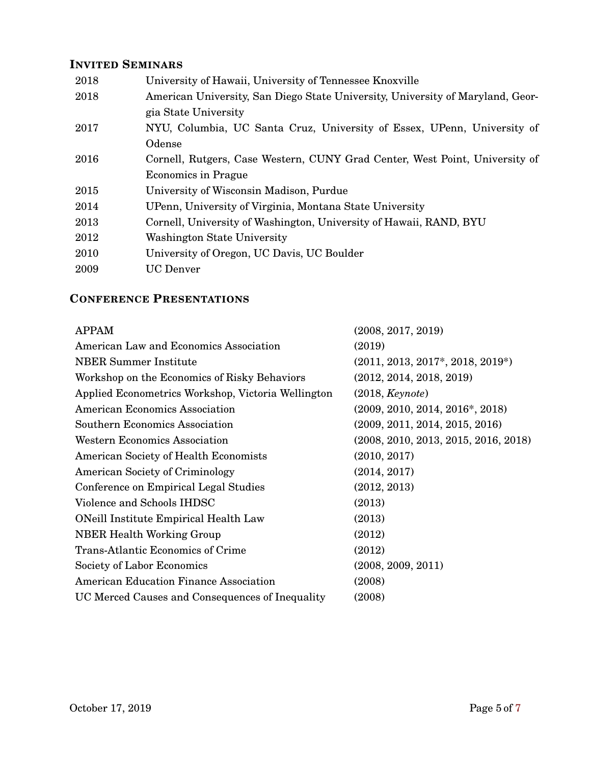# **INVITED SEMINARS**

| 2018 | University of Hawaii, University of Tennessee Knoxville                        |
|------|--------------------------------------------------------------------------------|
| 2018 | American University, San Diego State University, University of Maryland, Geor- |
|      | gia State University                                                           |
| 2017 | NYU, Columbia, UC Santa Cruz, University of Essex, UPenn, University of        |
|      | Odense                                                                         |
| 2016 | Cornell, Rutgers, Case Western, CUNY Grad Center, West Point, University of    |
|      | <b>Economics in Prague</b>                                                     |
| 2015 | University of Wisconsin Madison, Purdue                                        |
| 2014 | UPenn, University of Virginia, Montana State University                        |
| 2013 | Cornell, University of Washington, University of Hawaii, RAND, BYU             |
| 2012 | Washington State University                                                    |
| 2010 | University of Oregon, UC Davis, UC Boulder                                     |
| 2009 | <b>UC</b> Denver                                                               |
|      |                                                                                |

# **CONFERENCE PRESENTATIONS**

| <b>APPAM</b>                                       | (2008, 2017, 2019)                   |
|----------------------------------------------------|--------------------------------------|
| American Law and Economics Association             | (2019)                               |
| <b>NBER</b> Summer Institute                       | $(2011, 2013, 2017^*, 2018, 2019^*)$ |
| Workshop on the Economics of Risky Behaviors       | (2012, 2014, 2018, 2019)             |
| Applied Econometrics Workshop, Victoria Wellington | (2018, Keynote)                      |
| American Economics Association                     | $(2009, 2010, 2014, 2016^*, 2018)$   |
| <b>Southern Economics Association</b>              | (2009, 2011, 2014, 2015, 2016)       |
| <b>Western Economics Association</b>               | (2008, 2010, 2013, 2015, 2016, 2018) |
| American Society of Health Economists              | (2010, 2017)                         |
| <b>American Society of Criminology</b>             | (2014, 2017)                         |
| Conference on Empirical Legal Studies              | (2012, 2013)                         |
| Violence and Schools IHDSC                         | (2013)                               |
| ONeill Institute Empirical Health Law              | (2013)                               |
| <b>NBER Health Working Group</b>                   | (2012)                               |
| Trans-Atlantic Economics of Crime                  | (2012)                               |
| Society of Labor Economics                         | (2008, 2009, 2011)                   |
| American Education Finance Association             | (2008)                               |
| UC Merced Causes and Consequences of Inequality    | (2008)                               |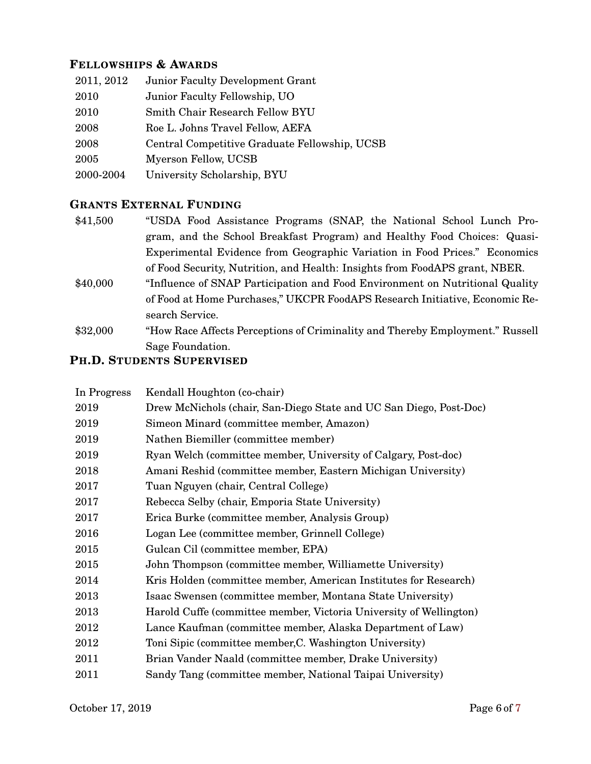### **FELLOWSHIPS & AWARDS**

| 2011, 2012 | <b>Junior Faculty Development Grant</b>       |
|------------|-----------------------------------------------|
| 2010       | Junior Faculty Fellowship, UO                 |
| 2010       | Smith Chair Research Fellow BYU               |
| 2008       | Roe L. Johns Travel Fellow, AEFA              |
| 2008       | Central Competitive Graduate Fellowship, UCSB |
| 2005       | Myerson Fellow, UCSB                          |
| 2000-2004  | University Scholarship, BYU                   |

### **GRANTS EXTERNAL FUNDING**

- \$41,500 "USDA Food Assistance Programs (SNAP, the National School Lunch Program, and the School Breakfast Program) and Healthy Food Choices: Quasi-Experimental Evidence from Geographic Variation in Food Prices." Economics of Food Security, Nutrition, and Health: Insights from FoodAPS grant, NBER. \$40,000 "Influence of SNAP Participation and Food Environment on Nutritional Quality
- of Food at Home Purchases," UKCPR FoodAPS Research Initiative, Economic Research Service.
- \$32,000 "How Race Affects Perceptions of Criminality and Thereby Employment." Russell Sage Foundation.

# **PH.D. STUDENTS SUPERVISED**

| In Progress | Kendall Houghton (co-chair)                                        |
|-------------|--------------------------------------------------------------------|
| 2019        | Drew McNichols (chair, San-Diego State and UC San Diego, Post-Doc) |
| 2019        | Simeon Minard (committee member, Amazon)                           |
| 2019        | Nathen Biemiller (committee member)                                |
| 2019        | Ryan Welch (committee member, University of Calgary, Post-doc)     |
| 2018        | Amani Reshid (committee member, Eastern Michigan University)       |
| 2017        | Tuan Nguyen (chair, Central College)                               |
| 2017        | Rebecca Selby (chair, Emporia State University)                    |
| 2017        | Erica Burke (committee member, Analysis Group)                     |
| 2016        | Logan Lee (committee member, Grinnell College)                     |
| 2015        | Gulcan Cil (committee member, EPA)                                 |
| 2015        | John Thompson (committee member, Williamette University)           |
| 2014        | Kris Holden (committee member, American Institutes for Research)   |
| 2013        | Isaac Swensen (committee member, Montana State University)         |
| 2013        | Harold Cuffe (committee member, Victoria University of Wellington) |
| 2012        | Lance Kaufman (committee member, Alaska Department of Law)         |
| 2012        | Toni Sipic (committee member, C. Washington University)            |
| 2011        | Brian Vander Naald (committee member, Drake University)            |
| 2011        | Sandy Tang (committee member, National Taipai University)          |